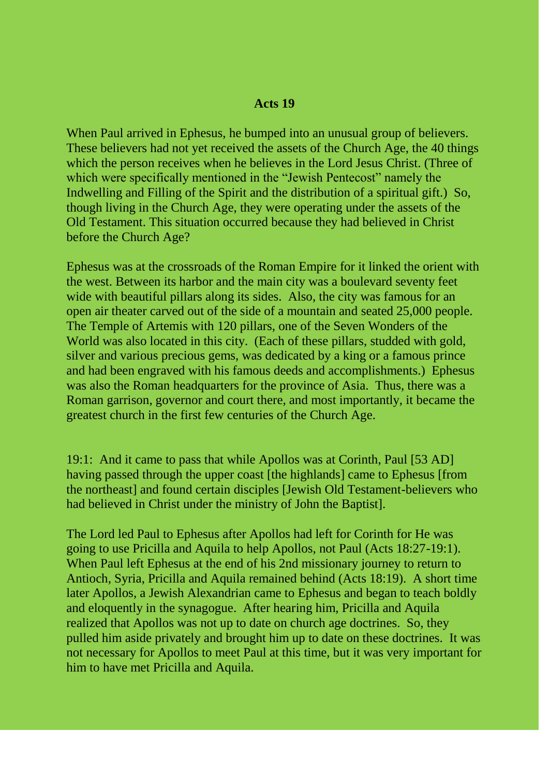## **Acts 19**

When Paul arrived in Ephesus, he bumped into an unusual group of believers. These believers had not yet received the assets of the Church Age, the 40 things which the person receives when he believes in the Lord Jesus Christ. (Three of which were specifically mentioned in the "Jewish Pentecost" namely the Indwelling and Filling of the Spirit and the distribution of a spiritual gift.) So, though living in the Church Age, they were operating under the assets of the Old Testament. This situation occurred because they had believed in Christ before the Church Age?

Ephesus was at the crossroads of the Roman Empire for it linked the orient with the west. Between its harbor and the main city was a boulevard seventy feet wide with beautiful pillars along its sides. Also, the city was famous for an open air theater carved out of the side of a mountain and seated 25,000 people. The Temple of Artemis with 120 pillars, one of the Seven Wonders of the World was also located in this city. (Each of these pillars, studded with gold, silver and various precious gems, was dedicated by a king or a famous prince and had been engraved with his famous deeds and accomplishments.) Ephesus was also the Roman headquarters for the province of Asia. Thus, there was a Roman garrison, governor and court there, and most importantly, it became the greatest church in the first few centuries of the Church Age.

19:1: And it came to pass that while Apollos was at Corinth, Paul [53 AD] having passed through the upper coast [the highlands] came to Ephesus [from the northeast] and found certain disciples [Jewish Old Testament-believers who had believed in Christ under the ministry of John the Baptist].

The Lord led Paul to Ephesus after Apollos had left for Corinth for He was going to use Pricilla and Aquila to help Apollos, not Paul (Acts 18:27-19:1). When Paul left Ephesus at the end of his 2nd missionary journey to return to Antioch, Syria, Pricilla and Aquila remained behind (Acts 18:19). A short time later Apollos, a Jewish Alexandrian came to Ephesus and began to teach boldly and eloquently in the synagogue. After hearing him, Pricilla and Aquila realized that Apollos was not up to date on church age doctrines. So, they pulled him aside privately and brought him up to date on these doctrines. It was not necessary for Apollos to meet Paul at this time, but it was very important for him to have met Pricilla and Aquila.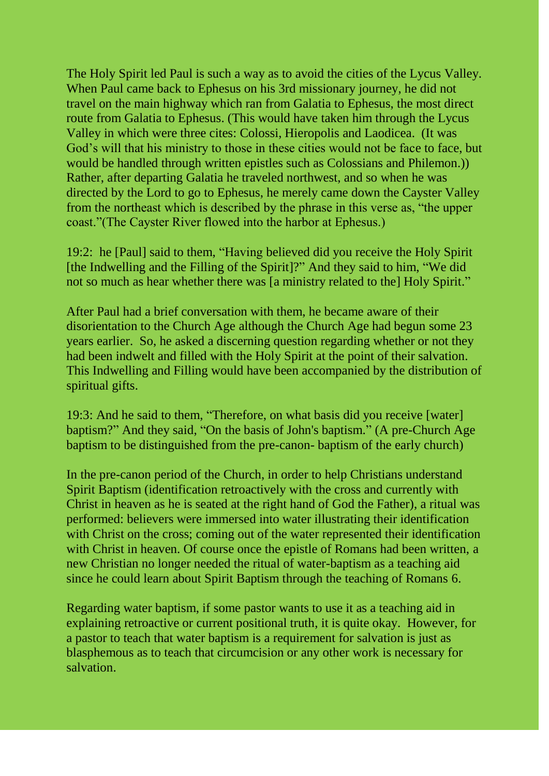The Holy Spirit led Paul is such a way as to avoid the cities of the Lycus Valley. When Paul came back to Ephesus on his 3rd missionary journey, he did not travel on the main highway which ran from Galatia to Ephesus, the most direct route from Galatia to Ephesus. (This would have taken him through the Lycus Valley in which were three cites: Colossi, Hieropolis and Laodicea. (It was God's will that his ministry to those in these cities would not be face to face, but would be handled through written epistles such as Colossians and Philemon.)) Rather, after departing Galatia he traveled northwest, and so when he was directed by the Lord to go to Ephesus, he merely came down the Cayster Valley from the northeast which is described by the phrase in this verse as, "the upper coast."(The Cayster River flowed into the harbor at Ephesus.)

19:2: he [Paul] said to them, "Having believed did you receive the Holy Spirit [the Indwelling and the Filling of the Spirit]?" And they said to him, "We did not so much as hear whether there was [a ministry related to the] Holy Spirit."

After Paul had a brief conversation with them, he became aware of their disorientation to the Church Age although the Church Age had begun some 23 years earlier. So, he asked a discerning question regarding whether or not they had been indwelt and filled with the Holy Spirit at the point of their salvation. This Indwelling and Filling would have been accompanied by the distribution of spiritual gifts.

19:3: And he said to them, "Therefore, on what basis did you receive [water] baptism?" And they said, "On the basis of John's baptism." (A pre-Church Age baptism to be distinguished from the pre-canon- baptism of the early church)

In the pre-canon period of the Church, in order to help Christians understand Spirit Baptism (identification retroactively with the cross and currently with Christ in heaven as he is seated at the right hand of God the Father), a ritual was performed: believers were immersed into water illustrating their identification with Christ on the cross; coming out of the water represented their identification with Christ in heaven. Of course once the epistle of Romans had been written, a new Christian no longer needed the ritual of water-baptism as a teaching aid since he could learn about Spirit Baptism through the teaching of Romans 6.

Regarding water baptism, if some pastor wants to use it as a teaching aid in explaining retroactive or current positional truth, it is quite okay. However, for a pastor to teach that water baptism is a requirement for salvation is just as blasphemous as to teach that circumcision or any other work is necessary for salvation.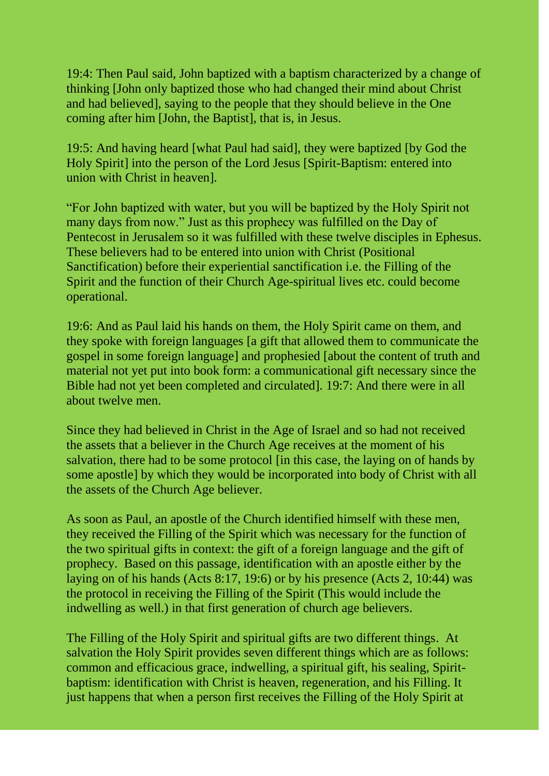19:4: Then Paul said, John baptized with a baptism characterized by a change of thinking [John only baptized those who had changed their mind about Christ and had believed], saying to the people that they should believe in the One coming after him [John, the Baptist], that is, in Jesus.

19:5: And having heard [what Paul had said], they were baptized [by God the Holy Spirit] into the person of the Lord Jesus [Spirit-Baptism: entered into union with Christ in heaven].

"For John baptized with water, but you will be baptized by the Holy Spirit not many days from now." Just as this prophecy was fulfilled on the Day of Pentecost in Jerusalem so it was fulfilled with these twelve disciples in Ephesus. These believers had to be entered into union with Christ (Positional Sanctification) before their experiential sanctification i.e. the Filling of the Spirit and the function of their Church Age-spiritual lives etc. could become operational.

19:6: And as Paul laid his hands on them, the Holy Spirit came on them, and they spoke with foreign languages [a gift that allowed them to communicate the gospel in some foreign language] and prophesied [about the content of truth and material not yet put into book form: a communicational gift necessary since the Bible had not yet been completed and circulated]. 19:7: And there were in all about twelve men.

Since they had believed in Christ in the Age of Israel and so had not received the assets that a believer in the Church Age receives at the moment of his salvation, there had to be some protocol [in this case, the laying on of hands by some apostle] by which they would be incorporated into body of Christ with all the assets of the Church Age believer.

As soon as Paul, an apostle of the Church identified himself with these men, they received the Filling of the Spirit which was necessary for the function of the two spiritual gifts in context: the gift of a foreign language and the gift of prophecy. Based on this passage, identification with an apostle either by the laying on of his hands (Acts 8:17, 19:6) or by his presence (Acts 2, 10:44) was the protocol in receiving the Filling of the Spirit (This would include the indwelling as well.) in that first generation of church age believers.

The Filling of the Holy Spirit and spiritual gifts are two different things. At salvation the Holy Spirit provides seven different things which are as follows: common and efficacious grace, indwelling, a spiritual gift, his sealing, Spiritbaptism: identification with Christ is heaven, regeneration, and his Filling. It just happens that when a person first receives the Filling of the Holy Spirit at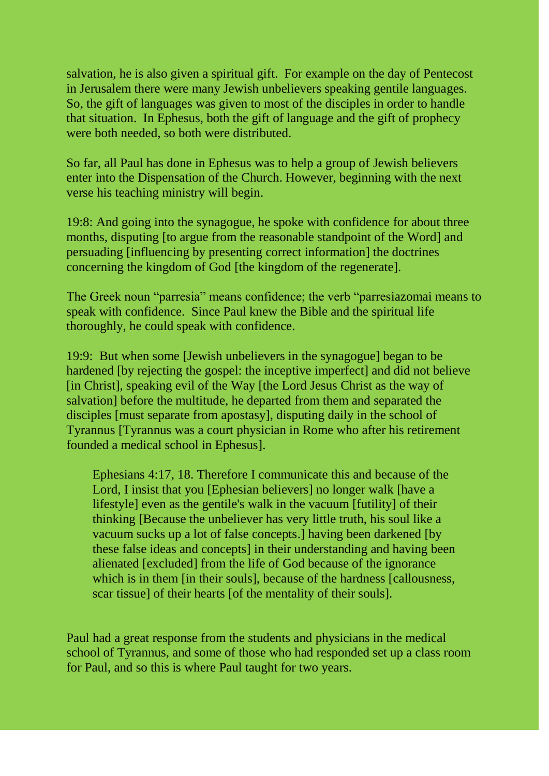salvation, he is also given a spiritual gift. For example on the day of Pentecost in Jerusalem there were many Jewish unbelievers speaking gentile languages. So, the gift of languages was given to most of the disciples in order to handle that situation. In Ephesus, both the gift of language and the gift of prophecy were both needed, so both were distributed.

So far, all Paul has done in Ephesus was to help a group of Jewish believers enter into the Dispensation of the Church. However, beginning with the next verse his teaching ministry will begin.

19:8: And going into the synagogue, he spoke with confidence for about three months, disputing to argue from the reasonable standpoint of the Wordl and persuading [influencing by presenting correct information] the doctrines concerning the kingdom of God [the kingdom of the regenerate].

The Greek noun "parresia" means confidence; the verb "parresiazomai means to speak with confidence. Since Paul knew the Bible and the spiritual life thoroughly, he could speak with confidence.

19:9: But when some [Jewish unbelievers in the synagogue] began to be hardened [by rejecting the gospel: the inceptive imperfect] and did not believe [in Christ], speaking evil of the Way [the Lord Jesus Christ as the way of salvation] before the multitude, he departed from them and separated the disciples [must separate from apostasy], disputing daily in the school of Tyrannus [Tyrannus was a court physician in Rome who after his retirement founded a medical school in Ephesus].

Ephesians 4:17, 18. Therefore I communicate this and because of the Lord, I insist that you [Ephesian believers] no longer walk [have a lifestyle] even as the gentile's walk in the vacuum [futility] of their thinking [Because the unbeliever has very little truth, his soul like a vacuum sucks up a lot of false concepts.] having been darkened [by these false ideas and concepts] in their understanding and having been alienated [excluded] from the life of God because of the ignorance which is in them [in their souls], because of the hardness [callousness, scar tissue] of their hearts [of the mentality of their souls].

Paul had a great response from the students and physicians in the medical school of Tyrannus, and some of those who had responded set up a class room for Paul, and so this is where Paul taught for two years.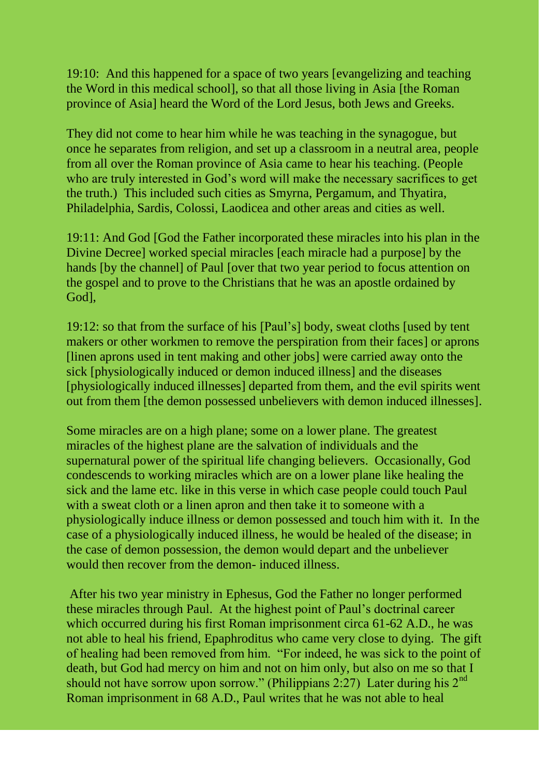19:10: And this happened for a space of two years [evangelizing and teaching the Word in this medical school], so that all those living in Asia [the Roman province of Asia] heard the Word of the Lord Jesus, both Jews and Greeks.

They did not come to hear him while he was teaching in the synagogue, but once he separates from religion, and set up a classroom in a neutral area, people from all over the Roman province of Asia came to hear his teaching. (People who are truly interested in God's word will make the necessary sacrifices to get the truth.) This included such cities as Smyrna, Pergamum, and Thyatira, Philadelphia, Sardis, Colossi, Laodicea and other areas and cities as well.

19:11: And God [God the Father incorporated these miracles into his plan in the Divine Decree] worked special miracles [each miracle had a purpose] by the hands [by the channel] of Paul [over that two year period to focus attention on the gospel and to prove to the Christians that he was an apostle ordained by God],

19:12: so that from the surface of his [Paul"s] body, sweat cloths [used by tent makers or other workmen to remove the perspiration from their faces] or aprons [linen aprons used in tent making and other jobs] were carried away onto the sick [physiologically induced or demon induced illness] and the diseases [physiologically induced illnesses] departed from them, and the evil spirits went out from them [the demon possessed unbelievers with demon induced illnesses].

Some miracles are on a high plane; some on a lower plane. The greatest miracles of the highest plane are the salvation of individuals and the supernatural power of the spiritual life changing believers. Occasionally, God condescends to working miracles which are on a lower plane like healing the sick and the lame etc. like in this verse in which case people could touch Paul with a sweat cloth or a linen apron and then take it to someone with a physiologically induce illness or demon possessed and touch him with it. In the case of a physiologically induced illness, he would be healed of the disease; in the case of demon possession, the demon would depart and the unbeliever would then recover from the demon- induced illness.

After his two year ministry in Ephesus, God the Father no longer performed these miracles through Paul. At the highest point of Paul"s doctrinal career which occurred during his first Roman imprisonment circa 61-62 A.D., he was not able to heal his friend, Epaphroditus who came very close to dying. The gift of healing had been removed from him. "For indeed, he was sick to the point of death, but God had mercy on him and not on him only, but also on me so that I should not have sorrow upon sorrow." (Philippians 2:27) Later during his  $2<sup>nd</sup>$ Roman imprisonment in 68 A.D., Paul writes that he was not able to heal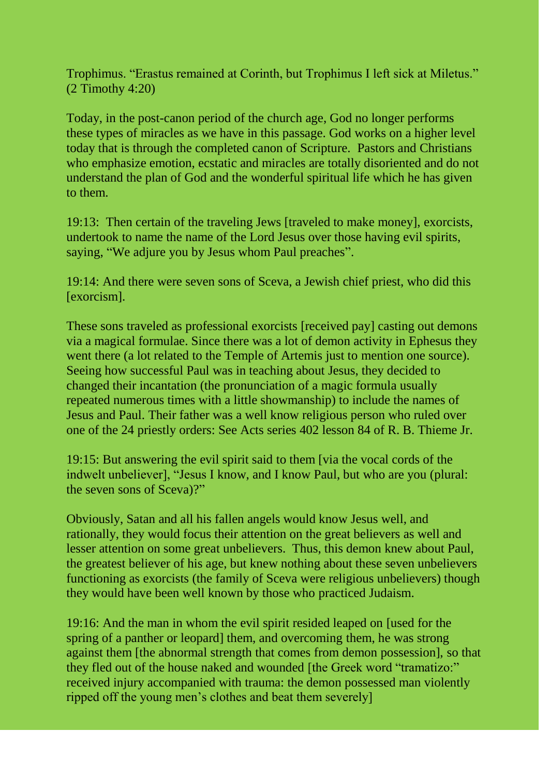Trophimus. "Erastus remained at Corinth, but Trophimus I left sick at Miletus." (2 Timothy 4:20)

Today, in the post-canon period of the church age, God no longer performs these types of miracles as we have in this passage. God works on a higher level today that is through the completed canon of Scripture. Pastors and Christians who emphasize emotion, ecstatic and miracles are totally disoriented and do not understand the plan of God and the wonderful spiritual life which he has given to them.

19:13: Then certain of the traveling Jews [traveled to make money], exorcists, undertook to name the name of the Lord Jesus over those having evil spirits, saying, "We adjure you by Jesus whom Paul preaches".

19:14: And there were seven sons of Sceva, a Jewish chief priest, who did this [exorcism].

These sons traveled as professional exorcists [received pay] casting out demons via a magical formulae. Since there was a lot of demon activity in Ephesus they went there (a lot related to the Temple of Artemis just to mention one source). Seeing how successful Paul was in teaching about Jesus, they decided to changed their incantation (the pronunciation of a magic formula usually repeated numerous times with a little showmanship) to include the names of Jesus and Paul. Their father was a well know religious person who ruled over one of the 24 priestly orders: See Acts series 402 lesson 84 of R. B. Thieme Jr.

19:15: But answering the evil spirit said to them [via the vocal cords of the indwelt unbeliever], "Jesus I know, and I know Paul, but who are you (plural: the seven sons of Sceva)?"

Obviously, Satan and all his fallen angels would know Jesus well, and rationally, they would focus their attention on the great believers as well and lesser attention on some great unbelievers. Thus, this demon knew about Paul, the greatest believer of his age, but knew nothing about these seven unbelievers functioning as exorcists (the family of Sceva were religious unbelievers) though they would have been well known by those who practiced Judaism.

19:16: And the man in whom the evil spirit resided leaped on [used for the spring of a panther or leopard] them, and overcoming them, he was strong against them [the abnormal strength that comes from demon possession], so that they fled out of the house naked and wounded [the Greek word "tramatizo:" received injury accompanied with trauma: the demon possessed man violently ripped off the young men's clothes and beat them severely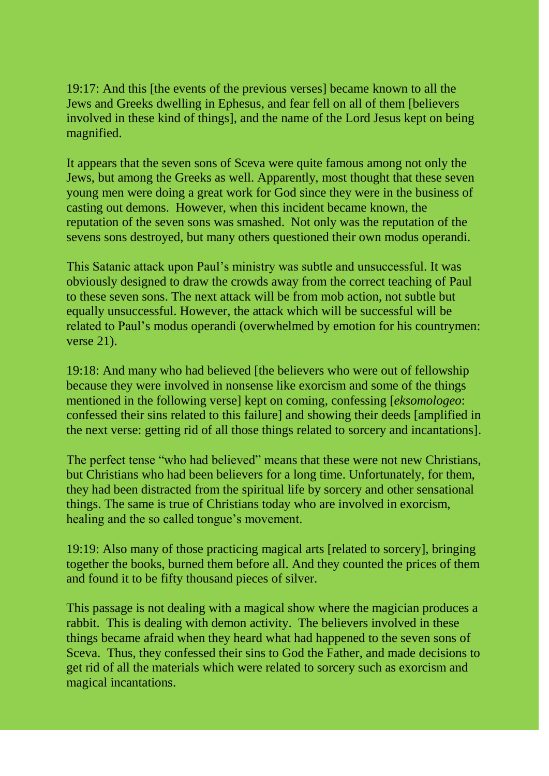19:17: And this [the events of the previous verses] became known to all the Jews and Greeks dwelling in Ephesus, and fear fell on all of them [believers involved in these kind of things], and the name of the Lord Jesus kept on being magnified.

It appears that the seven sons of Sceva were quite famous among not only the Jews, but among the Greeks as well. Apparently, most thought that these seven young men were doing a great work for God since they were in the business of casting out demons. However, when this incident became known, the reputation of the seven sons was smashed. Not only was the reputation of the sevens sons destroyed, but many others questioned their own modus operandi.

This Satanic attack upon Paul"s ministry was subtle and unsuccessful. It was obviously designed to draw the crowds away from the correct teaching of Paul to these seven sons. The next attack will be from mob action, not subtle but equally unsuccessful. However, the attack which will be successful will be related to Paul"s modus operandi (overwhelmed by emotion for his countrymen: verse 21).

19:18: And many who had believed [the believers who were out of fellowship because they were involved in nonsense like exorcism and some of the things mentioned in the following verse] kept on coming, confessing [*eksomologeo*: confessed their sins related to this failure] and showing their deeds [amplified in the next verse: getting rid of all those things related to sorcery and incantations].

The perfect tense "who had believed" means that these were not new Christians, but Christians who had been believers for a long time. Unfortunately, for them, they had been distracted from the spiritual life by sorcery and other sensational things. The same is true of Christians today who are involved in exorcism, healing and the so called tongue's movement.

19:19: Also many of those practicing magical arts [related to sorcery], bringing together the books, burned them before all. And they counted the prices of them and found it to be fifty thousand pieces of silver.

This passage is not dealing with a magical show where the magician produces a rabbit. This is dealing with demon activity. The believers involved in these things became afraid when they heard what had happened to the seven sons of Sceva. Thus, they confessed their sins to God the Father, and made decisions to get rid of all the materials which were related to sorcery such as exorcism and magical incantations.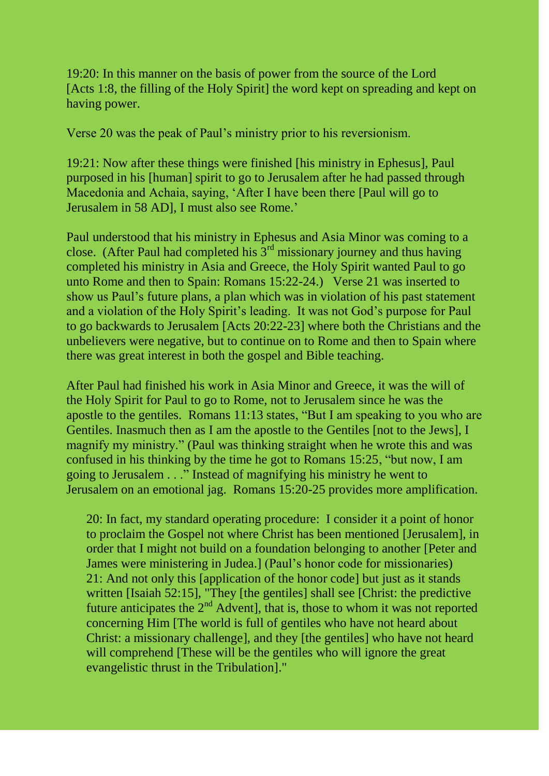19:20: In this manner on the basis of power from the source of the Lord [Acts 1:8, the filling of the Holy Spirit] the word kept on spreading and kept on having power.

Verse 20 was the peak of Paul"s ministry prior to his reversionism.

19:21: Now after these things were finished [his ministry in Ephesus], Paul purposed in his [human] spirit to go to Jerusalem after he had passed through Macedonia and Achaia, saying, "After I have been there [Paul will go to Jerusalem in 58 AD], I must also see Rome.'

Paul understood that his ministry in Ephesus and Asia Minor was coming to a close. (After Paul had completed his  $3<sup>rd</sup>$  missionary journey and thus having completed his ministry in Asia and Greece, the Holy Spirit wanted Paul to go unto Rome and then to Spain: Romans 15:22-24.) Verse 21 was inserted to show us Paul"s future plans, a plan which was in violation of his past statement and a violation of the Holy Spirit's leading. It was not God's purpose for Paul to go backwards to Jerusalem [Acts 20:22-23] where both the Christians and the unbelievers were negative, but to continue on to Rome and then to Spain where there was great interest in both the gospel and Bible teaching.

After Paul had finished his work in Asia Minor and Greece, it was the will of the Holy Spirit for Paul to go to Rome, not to Jerusalem since he was the apostle to the gentiles. Romans 11:13 states, "But I am speaking to you who are Gentiles. Inasmuch then as I am the apostle to the Gentiles [not to the Jews], I magnify my ministry." (Paul was thinking straight when he wrote this and was confused in his thinking by the time he got to Romans 15:25, "but now, I am going to Jerusalem . . ." Instead of magnifying his ministry he went to Jerusalem on an emotional jag. Romans 15:20-25 provides more amplification.

20: In fact, my standard operating procedure: I consider it a point of honor to proclaim the Gospel not where Christ has been mentioned [Jerusalem], in order that I might not build on a foundation belonging to another [Peter and James were ministering in Judea.] (Paul"s honor code for missionaries) 21: And not only this [application of the honor code] but just as it stands written [Isaiah 52:15], "They [the gentiles] shall see [Christ: the predictive future anticipates the  $2<sup>nd</sup>$  Advent], that is, those to whom it was not reported concerning Him [The world is full of gentiles who have not heard about Christ: a missionary challenge], and they [the gentiles] who have not heard will comprehend [These will be the gentiles who will ignore the great evangelistic thrust in the Tribulation]."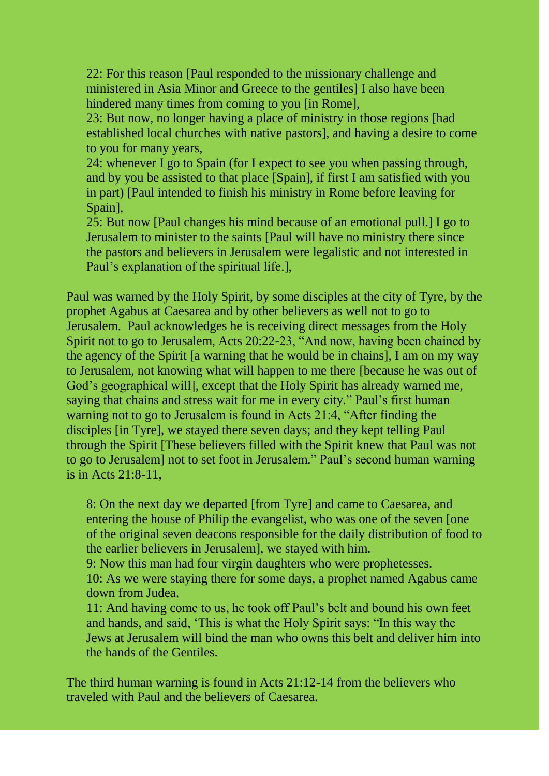22: For this reason [Paul responded to the missionary challenge and ministered in Asia Minor and Greece to the gentiles] I also have been hindered many times from coming to you [in Rome],

23: But now, no longer having a place of ministry in those regions [had established local churches with native pastors], and having a desire to come to you for many years,

24: whenever I go to Spain (for I expect to see you when passing through, and by you be assisted to that place [Spain], if first I am satisfied with you in part) [Paul intended to finish his ministry in Rome before leaving for Spain],

25: But now [Paul changes his mind because of an emotional pull.] I go to Jerusalem to minister to the saints [Paul will have no ministry there since the pastors and believers in Jerusalem were legalistic and not interested in Paul"s explanation of the spiritual life.],

Paul was warned by the Holy Spirit, by some disciples at the city of Tyre, by the prophet Agabus at Caesarea and by other believers as well not to go to Jerusalem. Paul acknowledges he is receiving direct messages from the Holy Spirit not to go to Jerusalem, Acts 20:22-23, "And now, having been chained by the agency of the Spirit [a warning that he would be in chains], I am on my way to Jerusalem, not knowing what will happen to me there [because he was out of God"s geographical will], except that the Holy Spirit has already warned me, saying that chains and stress wait for me in every city." Paul's first human warning not to go to Jerusalem is found in Acts 21:4, "After finding the disciples [in Tyre], we stayed there seven days; and they kept telling Paul through the Spirit [These believers filled with the Spirit knew that Paul was not to go to Jerusalem] not to set foot in Jerusalem." Paul"s second human warning is in Acts 21:8-11,

8: On the next day we departed [from Tyre] and came to Caesarea, and entering the house of Philip the evangelist, who was one of the seven [one of the original seven deacons responsible for the daily distribution of food to the earlier believers in Jerusalem], we stayed with him.

9: Now this man had four virgin daughters who were prophetesses. 10: As we were staying there for some days, a prophet named Agabus came down from Judea.

11: And having come to us, he took off Paul"s belt and bound his own feet and hands, and said, "This is what the Holy Spirit says: "In this way the Jews at Jerusalem will bind the man who owns this belt and deliver him into the hands of the Gentiles.

The third human warning is found in Acts 21:12-14 from the believers who traveled with Paul and the believers of Caesarea.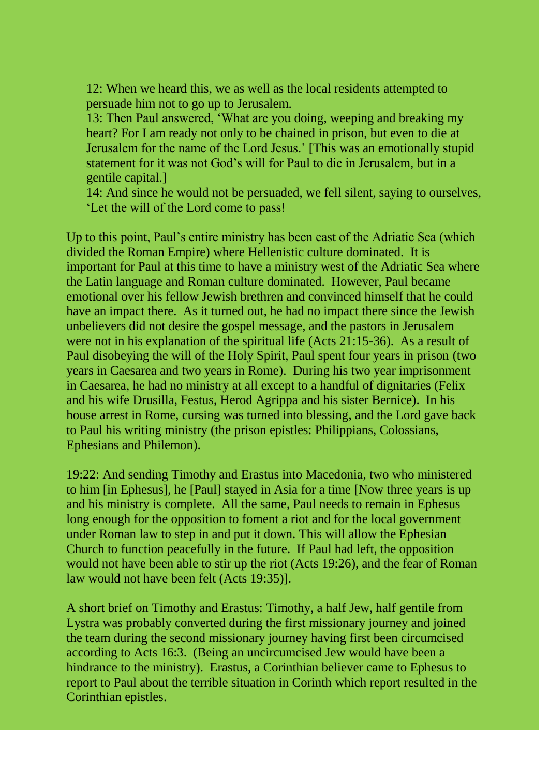12: When we heard this, we as well as the local residents attempted to persuade him not to go up to Jerusalem.

13: Then Paul answered, "What are you doing, weeping and breaking my heart? For I am ready not only to be chained in prison, but even to die at Jerusalem for the name of the Lord Jesus." [This was an emotionally stupid statement for it was not God"s will for Paul to die in Jerusalem, but in a gentile capital.]

14: And since he would not be persuaded, we fell silent, saying to ourselves, "Let the will of the Lord come to pass!

Up to this point, Paul"s entire ministry has been east of the Adriatic Sea (which divided the Roman Empire) where Hellenistic culture dominated. It is important for Paul at this time to have a ministry west of the Adriatic Sea where the Latin language and Roman culture dominated. However, Paul became emotional over his fellow Jewish brethren and convinced himself that he could have an impact there. As it turned out, he had no impact there since the Jewish unbelievers did not desire the gospel message, and the pastors in Jerusalem were not in his explanation of the spiritual life (Acts 21:15-36). As a result of Paul disobeying the will of the Holy Spirit, Paul spent four years in prison (two years in Caesarea and two years in Rome). During his two year imprisonment in Caesarea, he had no ministry at all except to a handful of dignitaries (Felix and his wife Drusilla, Festus, Herod Agrippa and his sister Bernice). In his house arrest in Rome, cursing was turned into blessing, and the Lord gave back to Paul his writing ministry (the prison epistles: Philippians, Colossians, Ephesians and Philemon).

19:22: And sending Timothy and Erastus into Macedonia, two who ministered to him [in Ephesus], he [Paul] stayed in Asia for a time [Now three years is up and his ministry is complete. All the same, Paul needs to remain in Ephesus long enough for the opposition to foment a riot and for the local government under Roman law to step in and put it down. This will allow the Ephesian Church to function peacefully in the future. If Paul had left, the opposition would not have been able to stir up the riot (Acts 19:26), and the fear of Roman law would not have been felt (Acts 19:35)].

A short brief on Timothy and Erastus: Timothy, a half Jew, half gentile from Lystra was probably converted during the first missionary journey and joined the team during the second missionary journey having first been circumcised according to Acts 16:3. (Being an uncircumcised Jew would have been a hindrance to the ministry). Erastus, a Corinthian believer came to Ephesus to report to Paul about the terrible situation in Corinth which report resulted in the Corinthian epistles.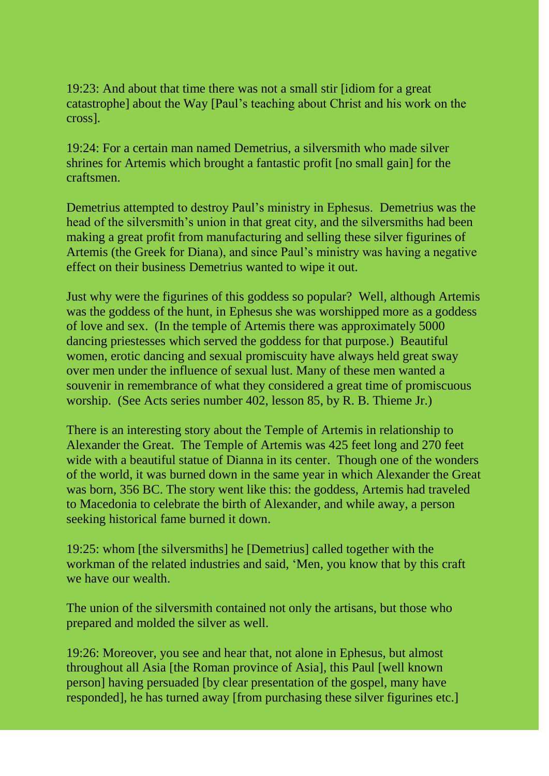19:23: And about that time there was not a small stir [idiom for a great catastrophe] about the Way [Paul"s teaching about Christ and his work on the cross].

19:24: For a certain man named Demetrius, a silversmith who made silver shrines for Artemis which brought a fantastic profit [no small gain] for the craftsmen.

Demetrius attempted to destroy Paul"s ministry in Ephesus. Demetrius was the head of the silversmith's union in that great city, and the silversmiths had been making a great profit from manufacturing and selling these silver figurines of Artemis (the Greek for Diana), and since Paul"s ministry was having a negative effect on their business Demetrius wanted to wipe it out.

Just why were the figurines of this goddess so popular? Well, although Artemis was the goddess of the hunt, in Ephesus she was worshipped more as a goddess of love and sex. (In the temple of Artemis there was approximately 5000 dancing priestesses which served the goddess for that purpose.) Beautiful women, erotic dancing and sexual promiscuity have always held great sway over men under the influence of sexual lust. Many of these men wanted a souvenir in remembrance of what they considered a great time of promiscuous worship. (See Acts series number 402, lesson 85, by R. B. Thieme Jr.)

There is an interesting story about the Temple of Artemis in relationship to Alexander the Great. The Temple of Artemis was 425 feet long and 270 feet wide with a beautiful statue of Dianna in its center. Though one of the wonders of the world, it was burned down in the same year in which Alexander the Great was born, 356 BC. The story went like this: the goddess, Artemis had traveled to Macedonia to celebrate the birth of Alexander, and while away, a person seeking historical fame burned it down.

19:25: whom [the silversmiths] he [Demetrius] called together with the workman of the related industries and said, "Men, you know that by this craft we have our wealth.

The union of the silversmith contained not only the artisans, but those who prepared and molded the silver as well.

19:26: Moreover, you see and hear that, not alone in Ephesus, but almost throughout all Asia [the Roman province of Asia], this Paul [well known person] having persuaded [by clear presentation of the gospel, many have responded], he has turned away [from purchasing these silver figurines etc.]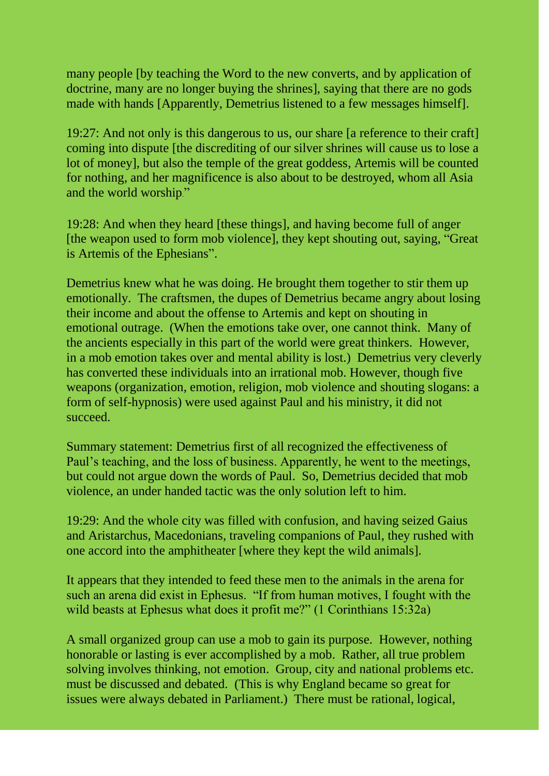many people [by teaching the Word to the new converts, and by application of doctrine, many are no longer buying the shrines], saying that there are no gods made with hands [Apparently, Demetrius listened to a few messages himself].

19:27: And not only is this dangerous to us, our share [a reference to their craft] coming into dispute [the discrediting of our silver shrines will cause us to lose a lot of money], but also the temple of the great goddess, Artemis will be counted for nothing, and her magnificence is also about to be destroyed, whom all Asia and the world worship."

19:28: And when they heard [these things], and having become full of anger [the weapon used to form mob violence], they kept shouting out, saying, "Great is Artemis of the Ephesians".

Demetrius knew what he was doing. He brought them together to stir them up emotionally. The craftsmen, the dupes of Demetrius became angry about losing their income and about the offense to Artemis and kept on shouting in emotional outrage. (When the emotions take over, one cannot think. Many of the ancients especially in this part of the world were great thinkers. However, in a mob emotion takes over and mental ability is lost.) Demetrius very cleverly has converted these individuals into an irrational mob. However, though five weapons (organization, emotion, religion, mob violence and shouting slogans: a form of self-hypnosis) were used against Paul and his ministry, it did not succeed.

Summary statement: Demetrius first of all recognized the effectiveness of Paul"s teaching, and the loss of business. Apparently, he went to the meetings, but could not argue down the words of Paul. So, Demetrius decided that mob violence, an under handed tactic was the only solution left to him.

19:29: And the whole city was filled with confusion, and having seized Gaius and Aristarchus, Macedonians, traveling companions of Paul, they rushed with one accord into the amphitheater [where they kept the wild animals].

It appears that they intended to feed these men to the animals in the arena for such an arena did exist in Ephesus. "If from human motives, I fought with the wild beasts at Ephesus what does it profit me?" (1 Corinthians 15:32a)

A small organized group can use a mob to gain its purpose. However, nothing honorable or lasting is ever accomplished by a mob. Rather, all true problem solving involves thinking, not emotion. Group, city and national problems etc. must be discussed and debated. (This is why England became so great for issues were always debated in Parliament.) There must be rational, logical,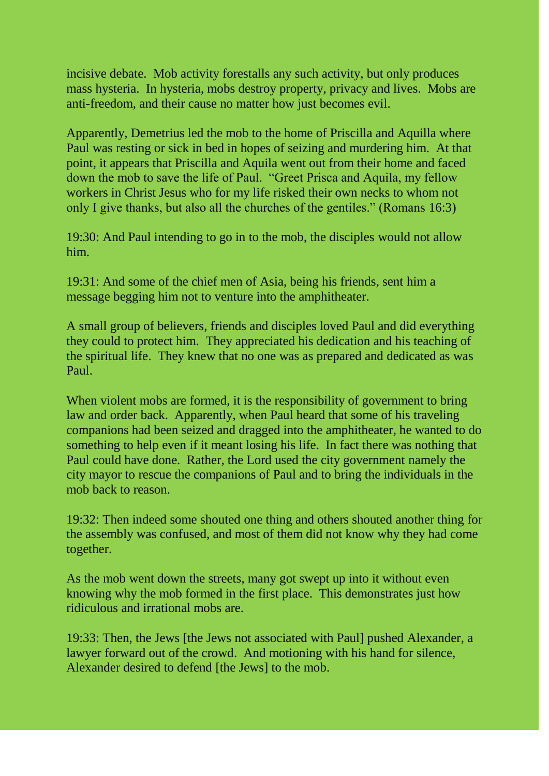incisive debate. Mob activity forestalls any such activity, but only produces mass hysteria. In hysteria, mobs destroy property, privacy and lives. Mobs are anti-freedom, and their cause no matter how just becomes evil.

Apparently, Demetrius led the mob to the home of Priscilla and Aquilla where Paul was resting or sick in bed in hopes of seizing and murdering him. At that point, it appears that Priscilla and Aquila went out from their home and faced down the mob to save the life of Paul. "Greet Prisca and Aquila, my fellow workers in Christ Jesus who for my life risked their own necks to whom not only I give thanks, but also all the churches of the gentiles." (Romans 16:3)

19:30: And Paul intending to go in to the mob, the disciples would not allow him.

19:31: And some of the chief men of Asia, being his friends, sent him a message begging him not to venture into the amphitheater.

A small group of believers, friends and disciples loved Paul and did everything they could to protect him. They appreciated his dedication and his teaching of the spiritual life. They knew that no one was as prepared and dedicated as was Paul.

When violent mobs are formed, it is the responsibility of government to bring law and order back. Apparently, when Paul heard that some of his traveling companions had been seized and dragged into the amphitheater, he wanted to do something to help even if it meant losing his life. In fact there was nothing that Paul could have done. Rather, the Lord used the city government namely the city mayor to rescue the companions of Paul and to bring the individuals in the mob back to reason.

19:32: Then indeed some shouted one thing and others shouted another thing for the assembly was confused, and most of them did not know why they had come together.

As the mob went down the streets, many got swept up into it without even knowing why the mob formed in the first place. This demonstrates just how ridiculous and irrational mobs are.

19:33: Then, the Jews [the Jews not associated with Paul] pushed Alexander, a lawyer forward out of the crowd. And motioning with his hand for silence, Alexander desired to defend [the Jews] to the mob.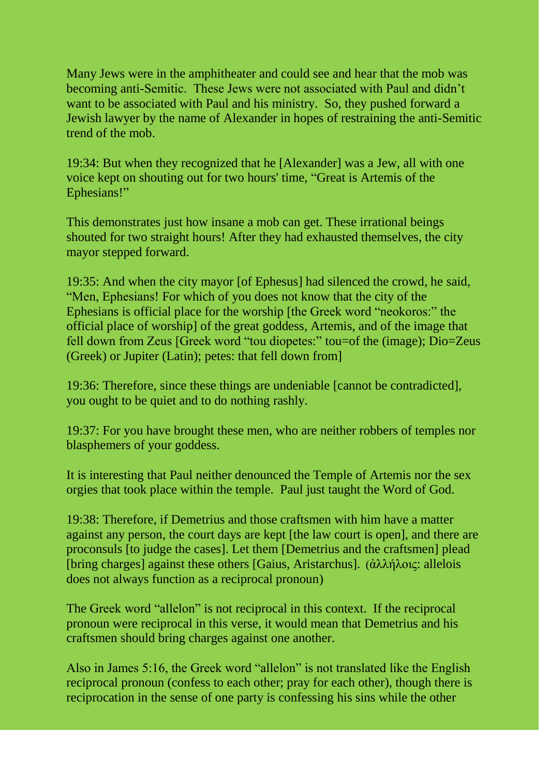Many Jews were in the amphitheater and could see and hear that the mob was becoming anti-Semitic. These Jews were not associated with Paul and didn"t want to be associated with Paul and his ministry. So, they pushed forward a Jewish lawyer by the name of Alexander in hopes of restraining the anti-Semitic trend of the mob.

19:34: But when they recognized that he [Alexander] was a Jew, all with one voice kept on shouting out for two hours' time, "Great is Artemis of the Ephesians!"

This demonstrates just how insane a mob can get. These irrational beings shouted for two straight hours! After they had exhausted themselves, the city mayor stepped forward.

19:35: And when the city mayor [of Ephesus] had silenced the crowd, he said, "Men, Ephesians! For which of you does not know that the city of the Ephesians is official place for the worship [the Greek word "neokoros:" the official place of worship] of the great goddess, Artemis, and of the image that fell down from Zeus [Greek word "tou diopetes:" tou=of the (image); Dio=Zeus (Greek) or Jupiter (Latin); petes: that fell down from]

19:36: Therefore, since these things are undeniable [cannot be contradicted], you ought to be quiet and to do nothing rashly.

19:37: For you have brought these men, who are neither robbers of temples nor blasphemers of your goddess.

It is interesting that Paul neither denounced the Temple of Artemis nor the sex orgies that took place within the temple. Paul just taught the Word of God.

19:38: Therefore, if Demetrius and those craftsmen with him have a matter against any person, the court days are kept [the law court is open], and there are proconsuls [to judge the cases]. Let them [Demetrius and the craftsmen] plead [bring charges] against these others [Gaius, Aristarchus]. (ἀλλήλοις: allelois does not always function as a reciprocal pronoun)

The Greek word "allelon" is not reciprocal in this context. If the reciprocal pronoun were reciprocal in this verse, it would mean that Demetrius and his craftsmen should bring charges against one another.

Also in James 5:16, the Greek word "allelon" is not translated like the English reciprocal pronoun (confess to each other; pray for each other), though there is reciprocation in the sense of one party is confessing his sins while the other